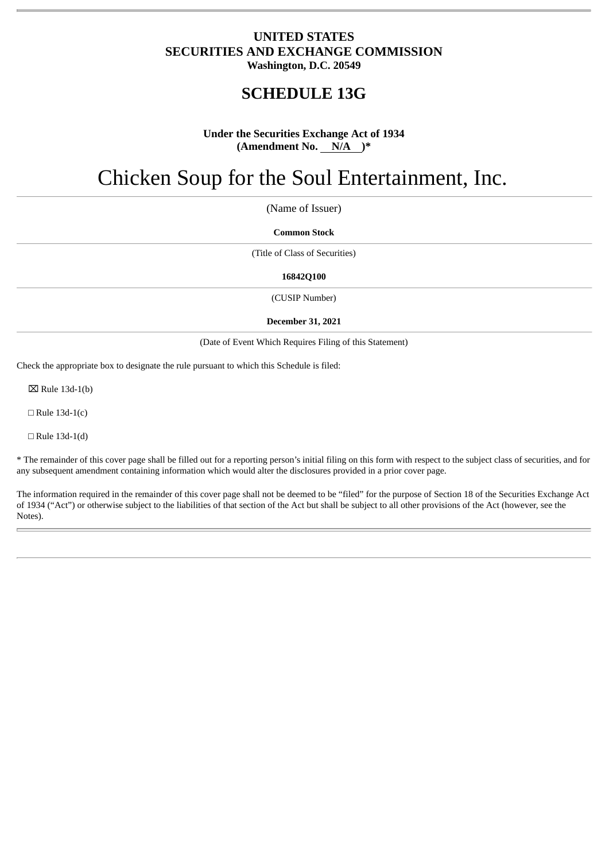# **UNITED STATES SECURITIES AND EXCHANGE COMMISSION Washington, D.C. 20549**

# **SCHEDULE 13G**

# **Under the Securities Exchange Act of 1934 (Amendment No. N/A )\***

# Chicken Soup for the Soul Entertainment, Inc.

(Name of Issuer)

**Common Stock**

(Title of Class of Securities)

**16842Q100**

(CUSIP Number)

#### **December 31, 2021**

(Date of Event Which Requires Filing of this Statement)

Check the appropriate box to designate the rule pursuant to which this Schedule is filed:

 $\boxtimes$  Rule 13d-1(b)

 $\Box$  Rule 13d-1(c)

 $\Box$  Rule 13d-1(d)

\* The remainder of this cover page shall be filled out for a reporting person's initial filing on this form with respect to the subject class of securities, and for any subsequent amendment containing information which would alter the disclosures provided in a prior cover page.

The information required in the remainder of this cover page shall not be deemed to be "filed" for the purpose of Section 18 of the Securities Exchange Act of 1934 ("Act") or otherwise subject to the liabilities of that section of the Act but shall be subject to all other provisions of the Act (however, see the Notes).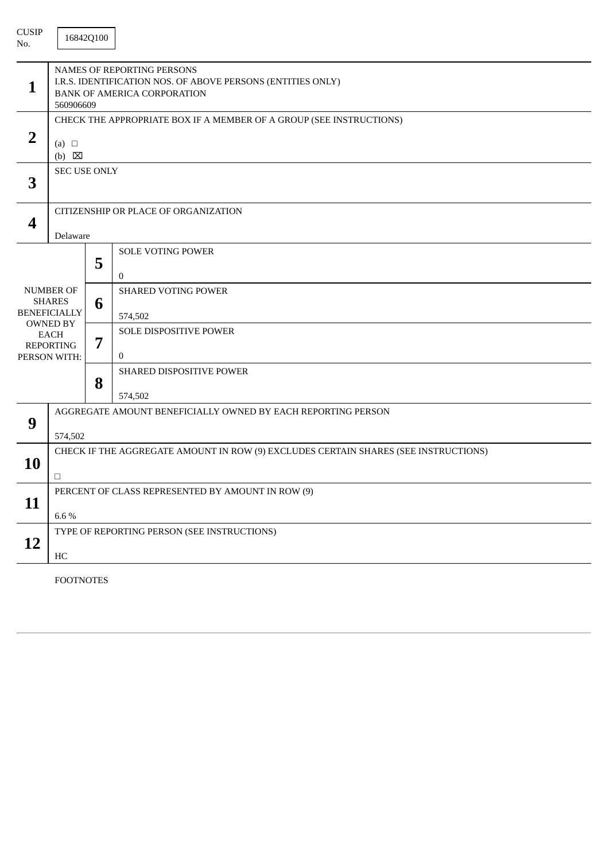| <b>CUSIP</b><br>No.                                                                                                            |                                                                                                                                              | 16842Q100 |                                            |  |  |
|--------------------------------------------------------------------------------------------------------------------------------|----------------------------------------------------------------------------------------------------------------------------------------------|-----------|--------------------------------------------|--|--|
| $\mathbf{1}$                                                                                                                   | <b>NAMES OF REPORTING PERSONS</b><br>I.R.S. IDENTIFICATION NOS. OF ABOVE PERSONS (ENTITIES ONLY)<br>BANK OF AMERICA CORPORATION<br>560906609 |           |                                            |  |  |
| $\overline{2}$                                                                                                                 | CHECK THE APPROPRIATE BOX IF A MEMBER OF A GROUP (SEE INSTRUCTIONS)<br>(a) $\Box$<br>$(b) \quad \boxtimes$                                   |           |                                            |  |  |
| 3                                                                                                                              | <b>SEC USE ONLY</b>                                                                                                                          |           |                                            |  |  |
| $\boldsymbol{4}$                                                                                                               | CITIZENSHIP OR PLACE OF ORGANIZATION<br>Delaware                                                                                             |           |                                            |  |  |
| <b>NUMBER OF</b><br><b>SHARES</b><br><b>BENEFICIALLY</b><br><b>OWNED BY</b><br><b>EACH</b><br><b>REPORTING</b><br>PERSON WITH: |                                                                                                                                              | 5         | <b>SOLE VOTING POWER</b><br>$\overline{0}$ |  |  |
|                                                                                                                                |                                                                                                                                              | 6         | <b>SHARED VOTING POWER</b><br>574,502      |  |  |
|                                                                                                                                |                                                                                                                                              | 7         | SOLE DISPOSITIVE POWER<br>$\mathbf{0}$     |  |  |
|                                                                                                                                |                                                                                                                                              | 8         | <b>SHARED DISPOSITIVE POWER</b><br>574,502 |  |  |
| 9                                                                                                                              | AGGREGATE AMOUNT BENEFICIALLY OWNED BY EACH REPORTING PERSON<br>574,502                                                                      |           |                                            |  |  |
| 10                                                                                                                             | CHECK IF THE AGGREGATE AMOUNT IN ROW (9) EXCLUDES CERTAIN SHARES (SEE INSTRUCTIONS)<br>$\Box$                                                |           |                                            |  |  |
| 11                                                                                                                             | PERCENT OF CLASS REPRESENTED BY AMOUNT IN ROW (9)<br>6.6%                                                                                    |           |                                            |  |  |
| 12                                                                                                                             | TYPE OF REPORTING PERSON (SEE INSTRUCTIONS)<br>HC                                                                                            |           |                                            |  |  |

FOOTNOTES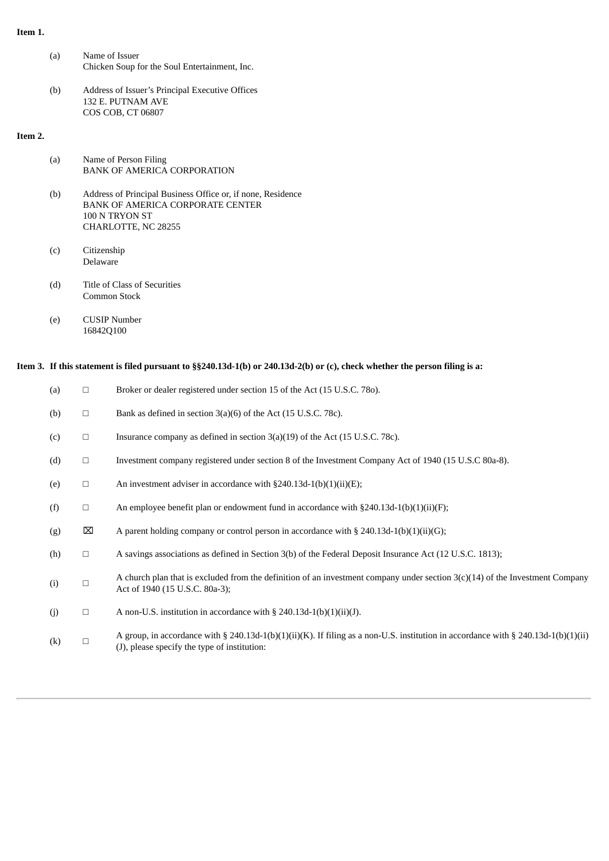### **Item 1.**

- (a) Name of Issuer Chicken Soup for the Soul Entertainment, Inc.
- (b) Address of Issuer's Principal Executive Offices 132 E. PUTNAM AVE COS COB, CT 06807

#### **Item 2.**

| (a) | Name of Person Filing              |
|-----|------------------------------------|
|     | <b>BANK OF AMERICA CORPORATION</b> |

- (b) Address of Principal Business Office or, if none, Residence BANK OF AMERICA CORPORATE CENTER 100 N TRYON ST CHARLOTTE, NC 28255
- (c) Citizenship Delaware
- (d) Title of Class of Securities Common Stock
- (e) CUSIP Number 16842Q100

# Item 3. If this statement is filed pursuant to §§240.13d-1(b) or 240.13d-2(b) or (c), check whether the person filing is a:

| (a)               | □           | Broker or dealer registered under section 15 of the Act (15 U.S.C. 780).                                                                                                           |
|-------------------|-------------|------------------------------------------------------------------------------------------------------------------------------------------------------------------------------------|
| (b)               | $\Box$      | Bank as defined in section 3(a)(6) of the Act (15 U.S.C. 78c).                                                                                                                     |
| (c)               | $\Box$      | Insurance company as defined in section $3(a)(19)$ of the Act (15 U.S.C. 78c).                                                                                                     |
| (d)               | $\Box$      | Investment company registered under section 8 of the Investment Company Act of 1940 (15 U.S.C 80a-8).                                                                              |
| (e)               | $\Box$      | An investment adviser in accordance with $\S 240.13d-1(b)(1)(ii)(E)$ ;                                                                                                             |
| (f)               | $\Box$      | An employee benefit plan or endowment fund in accordance with $\S 240.13d-1(b)(1)(ii)(F)$ ;                                                                                        |
| (g)               | $\boxtimes$ | A parent holding company or control person in accordance with $\S 240.13d-1(b)(1)(ii)(G)$ ;                                                                                        |
| (h)               | $\Box$      | A savings associations as defined in Section 3(b) of the Federal Deposit Insurance Act (12 U.S.C. 1813);                                                                           |
| (i)               | $\Box$      | A church plan that is excluded from the definition of an investment company under section $3(c)(14)$ of the Investment Company<br>Act of 1940 (15 U.S.C. 80a-3);                   |
| (i)               | $\Box$      | A non-U.S. institution in accordance with $\S$ 240.13d-1(b)(1)(ii)(J).                                                                                                             |
| $\left( k\right)$ | П           | A group, in accordance with § 240.13d-1(b)(1)(ii)(K). If filing as a non-U.S. institution in accordance with § 240.13d-1(b)(1)(ii)<br>(J), please specify the type of institution: |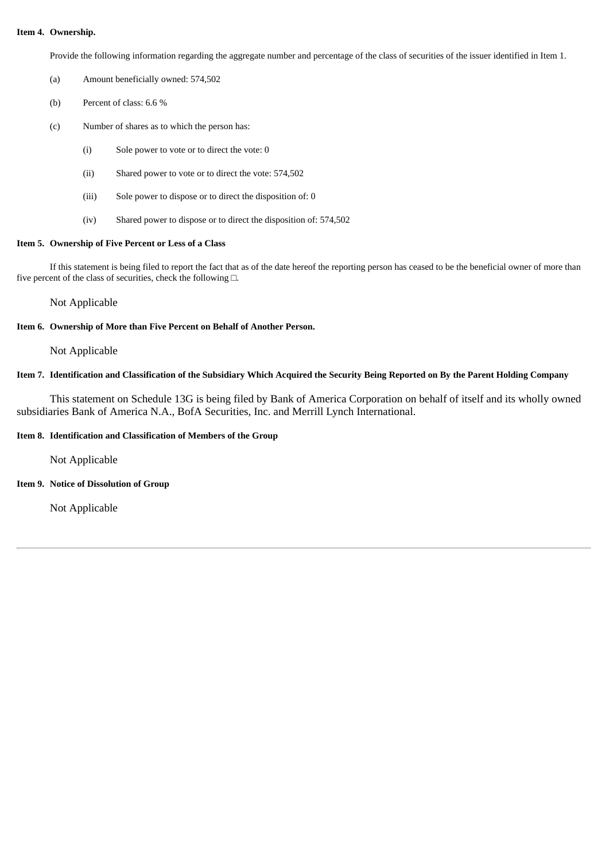#### **Item 4. Ownership.**

Provide the following information regarding the aggregate number and percentage of the class of securities of the issuer identified in Item 1.

- (a) Amount beneficially owned: 574,502
- (b) Percent of class: 6.6 %
- (c) Number of shares as to which the person has:
	- (i) Sole power to vote or to direct the vote: 0
	- (ii) Shared power to vote or to direct the vote: 574,502
	- (iii) Sole power to dispose or to direct the disposition of: 0
	- (iv) Shared power to dispose or to direct the disposition of: 574,502

#### **Item 5. Ownership of Five Percent or Less of a Class**

If this statement is being filed to report the fact that as of the date hereof the reporting person has ceased to be the beneficial owner of more than five percent of the class of securities, check the following □.

Not Applicable

#### **Item 6. Ownership of More than Five Percent on Behalf of Another Person.**

Not Applicable

## Item 7. Identification and Classification of the Subsidiary Which Acquired the Security Being Reported on By the Parent Holding Company

This statement on Schedule 13G is being filed by Bank of America Corporation on behalf of itself and its wholly owned subsidiaries Bank of America N.A., BofA Securities, Inc. and Merrill Lynch International.

#### **Item 8. Identification and Classification of Members of the Group**

Not Applicable

**Item 9. Notice of Dissolution of Group**

Not Applicable